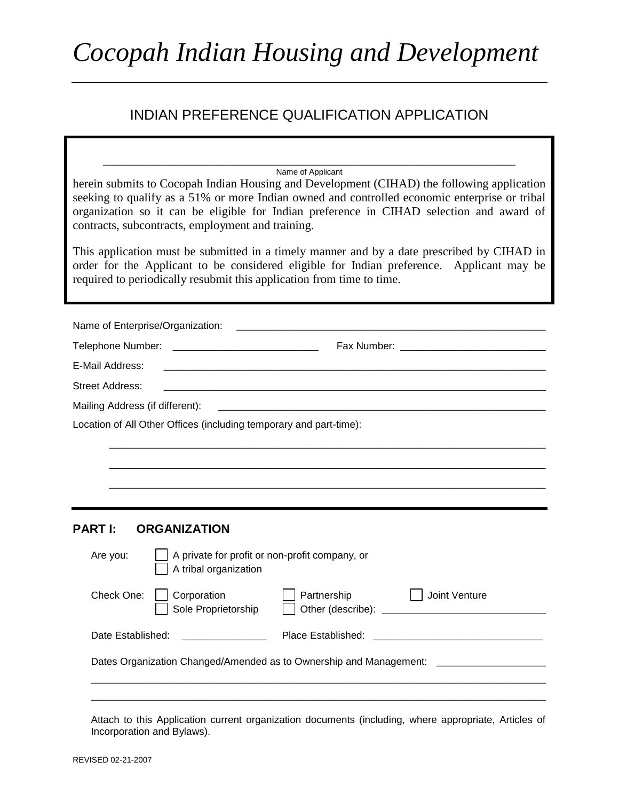# *Cocopah Indian Housing and Development*

# INDIAN PREFERENCE QUALIFICATION APPLICATION

| Name of Applicant<br>herein submits to Cocopah Indian Housing and Development (CIHAD) the following application<br>seeking to qualify as a 51% or more Indian owned and controlled economic enterprise or tribal<br>organization so it can be eligible for Indian preference in CIHAD selection and award of<br>contracts, subcontracts, employment and training.<br>This application must be submitted in a timely manner and by a date prescribed by CIHAD in<br>order for the Applicant to be considered eligible for Indian preference. Applicant may be<br>required to periodically resubmit this application from time to time. |
|---------------------------------------------------------------------------------------------------------------------------------------------------------------------------------------------------------------------------------------------------------------------------------------------------------------------------------------------------------------------------------------------------------------------------------------------------------------------------------------------------------------------------------------------------------------------------------------------------------------------------------------|
| Name of Enterprise/Organization:                                                                                                                                                                                                                                                                                                                                                                                                                                                                                                                                                                                                      |
| Telephone Number:                                                                                                                                                                                                                                                                                                                                                                                                                                                                                                                                                                                                                     |
| E-Mail Address:                                                                                                                                                                                                                                                                                                                                                                                                                                                                                                                                                                                                                       |
| <b>Street Address:</b>                                                                                                                                                                                                                                                                                                                                                                                                                                                                                                                                                                                                                |
| Mailing Address (if different):                                                                                                                                                                                                                                                                                                                                                                                                                                                                                                                                                                                                       |
| Location of All Other Offices (including temporary and part-time):                                                                                                                                                                                                                                                                                                                                                                                                                                                                                                                                                                    |
|                                                                                                                                                                                                                                                                                                                                                                                                                                                                                                                                                                                                                                       |
|                                                                                                                                                                                                                                                                                                                                                                                                                                                                                                                                                                                                                                       |
|                                                                                                                                                                                                                                                                                                                                                                                                                                                                                                                                                                                                                                       |
|                                                                                                                                                                                                                                                                                                                                                                                                                                                                                                                                                                                                                                       |
| <b>PART I:</b><br><b>ORGANIZATION</b>                                                                                                                                                                                                                                                                                                                                                                                                                                                                                                                                                                                                 |
| A private for profit or non-profit company, or<br>Are you:<br>A tribal organization                                                                                                                                                                                                                                                                                                                                                                                                                                                                                                                                                   |
| Check One:<br>Corporation<br>Partnership<br><b>Joint Venture</b><br>Sole Proprietorship                                                                                                                                                                                                                                                                                                                                                                                                                                                                                                                                               |
| Date Established:                                                                                                                                                                                                                                                                                                                                                                                                                                                                                                                                                                                                                     |
| Dates Organization Changed/Amended as to Ownership and Management: ______________                                                                                                                                                                                                                                                                                                                                                                                                                                                                                                                                                     |
|                                                                                                                                                                                                                                                                                                                                                                                                                                                                                                                                                                                                                                       |

Attach to this Application current organization documents (including, where appropriate, Articles of Incorporation and Bylaws).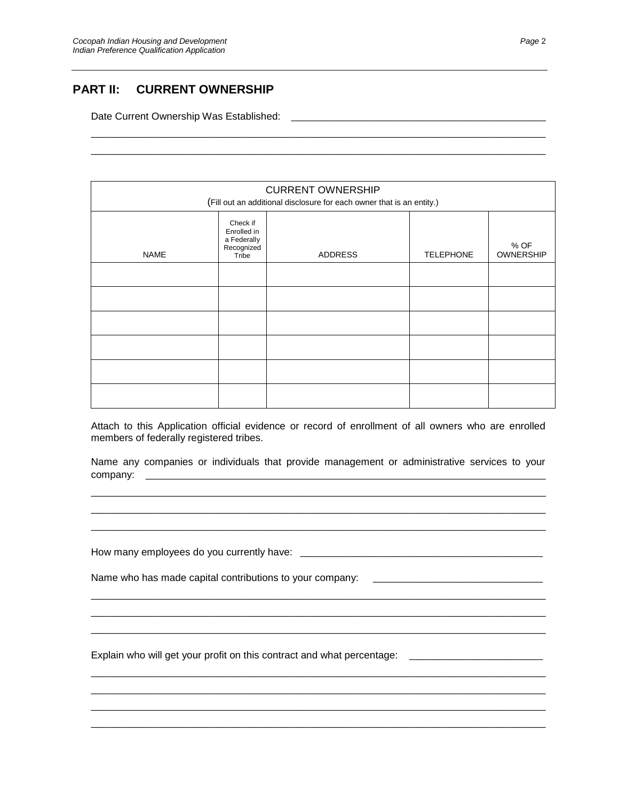## **PART II: CURRENT OWNERSHIP**

Date Current Ownership Was Established: \_\_\_\_\_\_\_\_\_\_\_\_\_\_\_\_\_\_\_\_\_\_\_\_\_\_\_\_\_\_\_\_\_\_\_\_\_\_\_\_\_\_

| <b>CURRENT OWNERSHIP</b><br>(Fill out an additional disclosure for each owner that is an entity.) |                                                               |                |                  |                   |
|---------------------------------------------------------------------------------------------------|---------------------------------------------------------------|----------------|------------------|-------------------|
| <b>NAME</b>                                                                                       | Check if<br>Enrolled in<br>a Federally<br>Recognized<br>Tribe | <b>ADDRESS</b> | <b>TELEPHONE</b> | % OF<br>OWNERSHIP |
|                                                                                                   |                                                               |                |                  |                   |
|                                                                                                   |                                                               |                |                  |                   |
|                                                                                                   |                                                               |                |                  |                   |
|                                                                                                   |                                                               |                |                  |                   |
|                                                                                                   |                                                               |                |                  |                   |
|                                                                                                   |                                                               |                |                  |                   |

\_\_\_\_\_\_\_\_\_\_\_\_\_\_\_\_\_\_\_\_\_\_\_\_\_\_\_\_\_\_\_\_\_\_\_\_\_\_\_\_\_\_\_\_\_\_\_\_\_\_\_\_\_\_\_\_\_\_\_\_\_\_\_\_\_\_\_\_\_\_\_\_\_\_\_ \_\_\_\_\_\_\_\_\_\_\_\_\_\_\_\_\_\_\_\_\_\_\_\_\_\_\_\_\_\_\_\_\_\_\_\_\_\_\_\_\_\_\_\_\_\_\_\_\_\_\_\_\_\_\_\_\_\_\_\_\_\_\_\_\_\_\_\_\_\_\_\_\_\_\_

Attach to this Application official evidence or record of enrollment of all owners who are enrolled members of federally registered tribes.

Name any companies or individuals that provide management or administrative services to your company:

\_\_\_\_\_\_\_\_\_\_\_\_\_\_\_\_\_\_\_\_\_\_\_\_\_\_\_\_\_\_\_\_\_\_\_\_\_\_\_\_\_\_\_\_\_\_\_\_\_\_\_\_\_\_\_\_\_\_\_\_\_\_\_\_\_\_\_\_\_\_\_\_\_\_\_ \_\_\_\_\_\_\_\_\_\_\_\_\_\_\_\_\_\_\_\_\_\_\_\_\_\_\_\_\_\_\_\_\_\_\_\_\_\_\_\_\_\_\_\_\_\_\_\_\_\_\_\_\_\_\_\_\_\_\_\_\_\_\_\_\_\_\_\_\_\_\_\_\_\_\_ \_\_\_\_\_\_\_\_\_\_\_\_\_\_\_\_\_\_\_\_\_\_\_\_\_\_\_\_\_\_\_\_\_\_\_\_\_\_\_\_\_\_\_\_\_\_\_\_\_\_\_\_\_\_\_\_\_\_\_\_\_\_\_\_\_\_\_\_\_\_\_\_\_\_\_

\_\_\_\_\_\_\_\_\_\_\_\_\_\_\_\_\_\_\_\_\_\_\_\_\_\_\_\_\_\_\_\_\_\_\_\_\_\_\_\_\_\_\_\_\_\_\_\_\_\_\_\_\_\_\_\_\_\_\_\_\_\_\_\_\_\_\_\_\_\_\_\_\_\_\_ \_\_\_\_\_\_\_\_\_\_\_\_\_\_\_\_\_\_\_\_\_\_\_\_\_\_\_\_\_\_\_\_\_\_\_\_\_\_\_\_\_\_\_\_\_\_\_\_\_\_\_\_\_\_\_\_\_\_\_\_\_\_\_\_\_\_\_\_\_\_\_\_\_\_\_ \_\_\_\_\_\_\_\_\_\_\_\_\_\_\_\_\_\_\_\_\_\_\_\_\_\_\_\_\_\_\_\_\_\_\_\_\_\_\_\_\_\_\_\_\_\_\_\_\_\_\_\_\_\_\_\_\_\_\_\_\_\_\_\_\_\_\_\_\_\_\_\_\_\_\_

\_\_\_\_\_\_\_\_\_\_\_\_\_\_\_\_\_\_\_\_\_\_\_\_\_\_\_\_\_\_\_\_\_\_\_\_\_\_\_\_\_\_\_\_\_\_\_\_\_\_\_\_\_\_\_\_\_\_\_\_\_\_\_\_\_\_\_\_\_\_\_\_\_\_\_ \_\_\_\_\_\_\_\_\_\_\_\_\_\_\_\_\_\_\_\_\_\_\_\_\_\_\_\_\_\_\_\_\_\_\_\_\_\_\_\_\_\_\_\_\_\_\_\_\_\_\_\_\_\_\_\_\_\_\_\_\_\_\_\_\_\_\_\_\_\_\_\_\_\_\_ \_\_\_\_\_\_\_\_\_\_\_\_\_\_\_\_\_\_\_\_\_\_\_\_\_\_\_\_\_\_\_\_\_\_\_\_\_\_\_\_\_\_\_\_\_\_\_\_\_\_\_\_\_\_\_\_\_\_\_\_\_\_\_\_\_\_\_\_\_\_\_\_\_\_\_ \_\_\_\_\_\_\_\_\_\_\_\_\_\_\_\_\_\_\_\_\_\_\_\_\_\_\_\_\_\_\_\_\_\_\_\_\_\_\_\_\_\_\_\_\_\_\_\_\_\_\_\_\_\_\_\_\_\_\_\_\_\_\_\_\_\_\_\_\_\_\_\_\_\_\_

How many employees do you currently have: \_\_\_\_\_\_\_\_\_\_\_\_\_\_\_\_\_\_\_\_\_\_\_\_\_\_\_\_\_\_\_\_\_\_\_\_\_\_\_\_

Name who has made capital contributions to your company: \_\_

Explain who will get your profit on this contract and what percentage: \_\_\_\_\_\_\_\_\_\_\_\_\_\_\_\_\_\_\_\_\_\_\_\_\_\_\_\_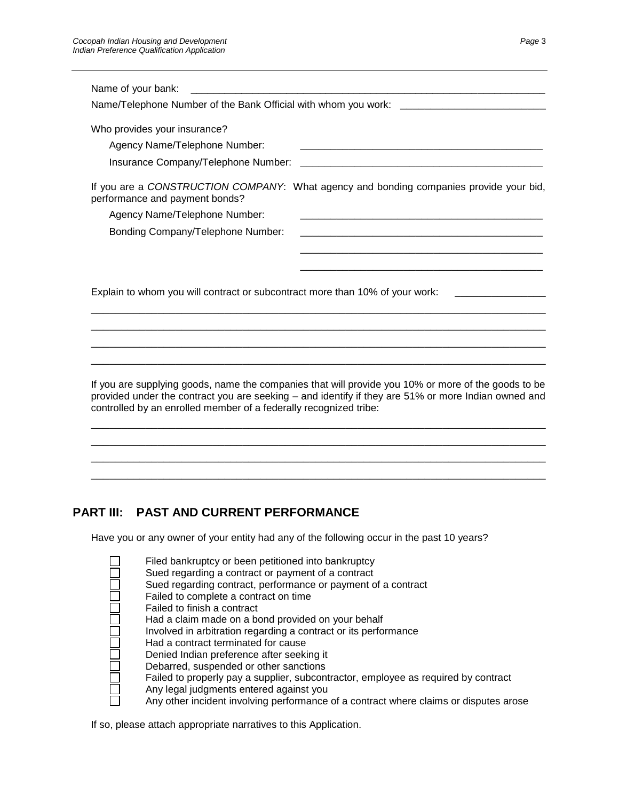| Who provides your insurance?                                                                                                                                                                                                                                       |
|--------------------------------------------------------------------------------------------------------------------------------------------------------------------------------------------------------------------------------------------------------------------|
| Agency Name/Telephone Number:                                                                                                                                                                                                                                      |
|                                                                                                                                                                                                                                                                    |
| If you are a CONSTRUCTION COMPANY: What agency and bonding companies provide your bid,<br>performance and payment bonds?                                                                                                                                           |
| Agency Name/Telephone Number:                                                                                                                                                                                                                                      |
| Bonding Company/Telephone Number:<br>the control of the control of the control of the control of the control of the control of the control of the control of the control of the control of the control of the control of the control of the control of the control |
| <u> 1989 - Andrea Santa Andrea Andrea Andrea Andrea Andrea Andrea Andrea Andrea Andrea Andrea Andrea Andrea Andr</u>                                                                                                                                               |
|                                                                                                                                                                                                                                                                    |
| Explain to whom you will contract or subcontract more than 10% of your work:<br>,我们也不能会在这里,我们的人们就会在这里,我们也不能会在这里,我们也不能会在这里,我们也不能会在这里,我们也不能会在这里,我们也不能会不能会不能会。""我们,我                                                                                                  |
|                                                                                                                                                                                                                                                                    |
|                                                                                                                                                                                                                                                                    |
|                                                                                                                                                                                                                                                                    |
| If you are supplying goods, name the companies that will provide you 10% or more of the goods to be                                                                                                                                                                |

If you are supplying goods, name the companies that will provide you 10% or more of the goods to be provided under the contract you are seeking – and identify if they are 51% or more Indian owned and controlled by an enrolled member of a federally recognized tribe:

\_\_\_\_\_\_\_\_\_\_\_\_\_\_\_\_\_\_\_\_\_\_\_\_\_\_\_\_\_\_\_\_\_\_\_\_\_\_\_\_\_\_\_\_\_\_\_\_\_\_\_\_\_\_\_\_\_\_\_\_\_\_\_\_\_\_\_\_\_\_\_\_\_\_\_ \_\_\_\_\_\_\_\_\_\_\_\_\_\_\_\_\_\_\_\_\_\_\_\_\_\_\_\_\_\_\_\_\_\_\_\_\_\_\_\_\_\_\_\_\_\_\_\_\_\_\_\_\_\_\_\_\_\_\_\_\_\_\_\_\_\_\_\_\_\_\_\_\_\_\_ \_\_\_\_\_\_\_\_\_\_\_\_\_\_\_\_\_\_\_\_\_\_\_\_\_\_\_\_\_\_\_\_\_\_\_\_\_\_\_\_\_\_\_\_\_\_\_\_\_\_\_\_\_\_\_\_\_\_\_\_\_\_\_\_\_\_\_\_\_\_\_\_\_\_\_ \_\_\_\_\_\_\_\_\_\_\_\_\_\_\_\_\_\_\_\_\_\_\_\_\_\_\_\_\_\_\_\_\_\_\_\_\_\_\_\_\_\_\_\_\_\_\_\_\_\_\_\_\_\_\_\_\_\_\_\_\_\_\_\_\_\_\_\_\_\_\_\_\_\_\_

## **PART III: PAST AND CURRENT PERFORMANCE**

Have you or any owner of your entity had any of the following occur in the past 10 years?

| Filed bankruptcy or been petitioned into bankruptcy                                   |
|---------------------------------------------------------------------------------------|
| Sued regarding a contract or payment of a contract                                    |
| Sued regarding contract, performance or payment of a contract                         |
| Failed to complete a contract on time                                                 |
| Failed to finish a contract                                                           |
| Had a claim made on a bond provided on your behalf                                    |
| Involved in arbitration regarding a contract or its performance                       |
| Had a contract terminated for cause                                                   |
| Denied Indian preference after seeking it                                             |
| Debarred, suspended or other sanctions                                                |
| Failed to properly pay a supplier, subcontractor, employee as required by contract    |
| Any legal judgments entered against you                                               |
| Any other incident involving performance of a contract where claims or disputes arose |

If so, please attach appropriate narratives to this Application.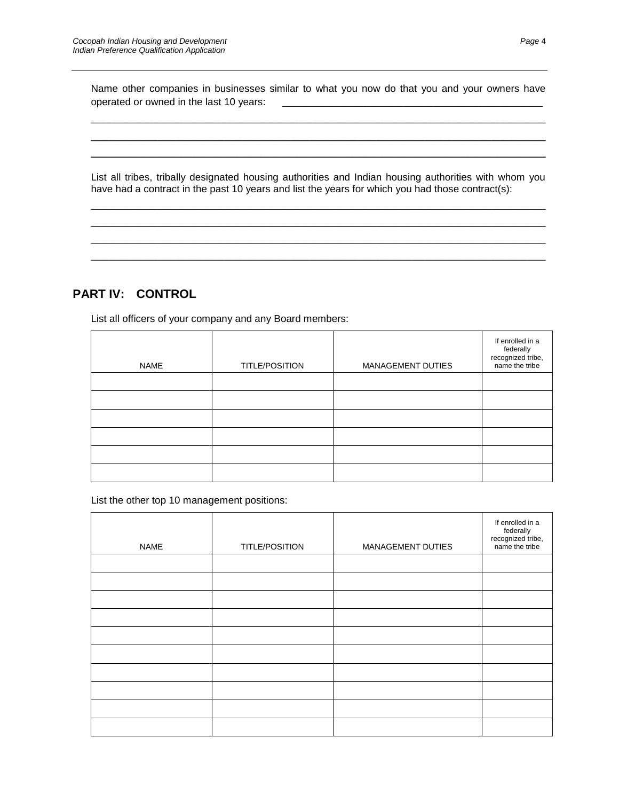Name other companies in businesses similar to what you now do that you and your owners have operated or owned in the last 10 years:

\_\_\_\_\_\_\_\_\_\_\_\_\_\_\_\_\_\_\_\_\_\_\_\_\_\_\_\_\_\_\_\_\_\_\_\_\_\_\_\_\_\_\_\_\_\_\_\_\_\_\_\_\_\_\_\_\_\_\_\_\_\_\_\_\_\_\_\_\_\_\_\_\_\_\_ **\_\_\_\_\_\_\_\_\_\_\_\_\_\_\_\_\_\_\_\_\_\_\_\_\_\_\_\_\_\_\_\_\_\_\_\_\_\_\_\_\_\_\_\_\_\_\_\_\_\_\_\_\_\_\_\_\_\_\_\_\_\_\_\_\_\_\_\_\_\_\_\_\_\_\_ \_\_\_\_\_\_\_\_\_\_\_\_\_\_\_\_\_\_\_\_\_\_\_\_\_\_\_\_\_\_\_\_\_\_\_\_\_\_\_\_\_\_\_\_\_\_\_\_\_\_\_\_\_\_\_\_\_\_\_\_\_\_\_\_\_\_\_\_\_\_\_\_\_\_\_**

List all tribes, tribally designated housing authorities and Indian housing authorities with whom you have had a contract in the past 10 years and list the years for which you had those contract(s):

\_\_\_\_\_\_\_\_\_\_\_\_\_\_\_\_\_\_\_\_\_\_\_\_\_\_\_\_\_\_\_\_\_\_\_\_\_\_\_\_\_\_\_\_\_\_\_\_\_\_\_\_\_\_\_\_\_\_\_\_\_\_\_\_\_\_\_\_\_\_\_\_\_\_\_ \_\_\_\_\_\_\_\_\_\_\_\_\_\_\_\_\_\_\_\_\_\_\_\_\_\_\_\_\_\_\_\_\_\_\_\_\_\_\_\_\_\_\_\_\_\_\_\_\_\_\_\_\_\_\_\_\_\_\_\_\_\_\_\_\_\_\_\_\_\_\_\_\_\_\_ \_\_\_\_\_\_\_\_\_\_\_\_\_\_\_\_\_\_\_\_\_\_\_\_\_\_\_\_\_\_\_\_\_\_\_\_\_\_\_\_\_\_\_\_\_\_\_\_\_\_\_\_\_\_\_\_\_\_\_\_\_\_\_\_\_\_\_\_\_\_\_\_\_\_\_ \_\_\_\_\_\_\_\_\_\_\_\_\_\_\_\_\_\_\_\_\_\_\_\_\_\_\_\_\_\_\_\_\_\_\_\_\_\_\_\_\_\_\_\_\_\_\_\_\_\_\_\_\_\_\_\_\_\_\_\_\_\_\_\_\_\_\_\_\_\_\_\_\_\_\_

## **PART IV: CONTROL**

List all officers of your company and any Board members:

| <b>NAME</b> | <b>TITLE/POSITION</b> | MANAGEMENT DUTIES | If enrolled in a<br>federally<br>recognized tribe,<br>name the tribe |
|-------------|-----------------------|-------------------|----------------------------------------------------------------------|
|             |                       |                   |                                                                      |
|             |                       |                   |                                                                      |
|             |                       |                   |                                                                      |
|             |                       |                   |                                                                      |
|             |                       |                   |                                                                      |
|             |                       |                   |                                                                      |

List the other top 10 management positions:

| <b>NAME</b> | TITLE/POSITION | MANAGEMENT DUTIES | If enrolled in a<br>federally<br>recognized tribe,<br>name the tribe |
|-------------|----------------|-------------------|----------------------------------------------------------------------|
|             |                |                   |                                                                      |
|             |                |                   |                                                                      |
|             |                |                   |                                                                      |
|             |                |                   |                                                                      |
|             |                |                   |                                                                      |
|             |                |                   |                                                                      |
|             |                |                   |                                                                      |
|             |                |                   |                                                                      |
|             |                |                   |                                                                      |
|             |                |                   |                                                                      |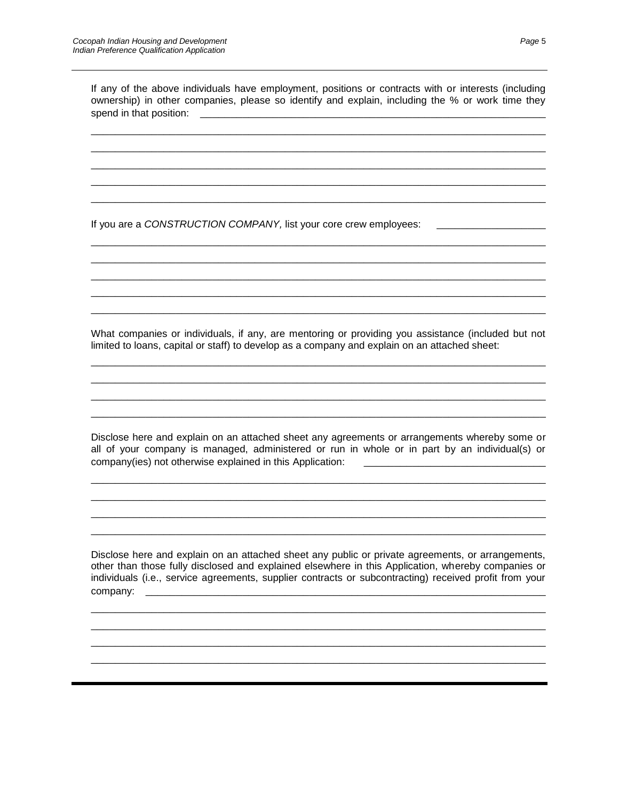If any of the above individuals have employment, positions or contracts with or interests (including ownership) in other companies, please so identify and explain, including the % or work time they spend in that position:

\_\_\_\_\_\_\_\_\_\_\_\_\_\_\_\_\_\_\_\_\_\_\_\_\_\_\_\_\_\_\_\_\_\_\_\_\_\_\_\_\_\_\_\_\_\_\_\_\_\_\_\_\_\_\_\_\_\_\_\_\_\_\_\_\_\_\_\_\_\_\_\_\_\_\_ \_\_\_\_\_\_\_\_\_\_\_\_\_\_\_\_\_\_\_\_\_\_\_\_\_\_\_\_\_\_\_\_\_\_\_\_\_\_\_\_\_\_\_\_\_\_\_\_\_\_\_\_\_\_\_\_\_\_\_\_\_\_\_\_\_\_\_\_\_\_\_\_\_\_\_ \_\_\_\_\_\_\_\_\_\_\_\_\_\_\_\_\_\_\_\_\_\_\_\_\_\_\_\_\_\_\_\_\_\_\_\_\_\_\_\_\_\_\_\_\_\_\_\_\_\_\_\_\_\_\_\_\_\_\_\_\_\_\_\_\_\_\_\_\_\_\_\_\_\_\_ \_\_\_\_\_\_\_\_\_\_\_\_\_\_\_\_\_\_\_\_\_\_\_\_\_\_\_\_\_\_\_\_\_\_\_\_\_\_\_\_\_\_\_\_\_\_\_\_\_\_\_\_\_\_\_\_\_\_\_\_\_\_\_\_\_\_\_\_\_\_\_\_\_\_\_ \_\_\_\_\_\_\_\_\_\_\_\_\_\_\_\_\_\_\_\_\_\_\_\_\_\_\_\_\_\_\_\_\_\_\_\_\_\_\_\_\_\_\_\_\_\_\_\_\_\_\_\_\_\_\_\_\_\_\_\_\_\_\_\_\_\_\_\_\_\_\_\_\_\_\_

If you are a *CONSTRUCTION COMPANY*, list your core crew employees:

What companies or individuals, if any, are mentoring or providing you assistance (included but not limited to loans, capital or staff) to develop as a company and explain on an attached sheet:

\_\_\_\_\_\_\_\_\_\_\_\_\_\_\_\_\_\_\_\_\_\_\_\_\_\_\_\_\_\_\_\_\_\_\_\_\_\_\_\_\_\_\_\_\_\_\_\_\_\_\_\_\_\_\_\_\_\_\_\_\_\_\_\_\_\_\_\_\_\_\_\_\_\_\_ \_\_\_\_\_\_\_\_\_\_\_\_\_\_\_\_\_\_\_\_\_\_\_\_\_\_\_\_\_\_\_\_\_\_\_\_\_\_\_\_\_\_\_\_\_\_\_\_\_\_\_\_\_\_\_\_\_\_\_\_\_\_\_\_\_\_\_\_\_\_\_\_\_\_\_ \_\_\_\_\_\_\_\_\_\_\_\_\_\_\_\_\_\_\_\_\_\_\_\_\_\_\_\_\_\_\_\_\_\_\_\_\_\_\_\_\_\_\_\_\_\_\_\_\_\_\_\_\_\_\_\_\_\_\_\_\_\_\_\_\_\_\_\_\_\_\_\_\_\_\_ \_\_\_\_\_\_\_\_\_\_\_\_\_\_\_\_\_\_\_\_\_\_\_\_\_\_\_\_\_\_\_\_\_\_\_\_\_\_\_\_\_\_\_\_\_\_\_\_\_\_\_\_\_\_\_\_\_\_\_\_\_\_\_\_\_\_\_\_\_\_\_\_\_\_\_

\_\_\_\_\_\_\_\_\_\_\_\_\_\_\_\_\_\_\_\_\_\_\_\_\_\_\_\_\_\_\_\_\_\_\_\_\_\_\_\_\_\_\_\_\_\_\_\_\_\_\_\_\_\_\_\_\_\_\_\_\_\_\_\_\_\_\_\_\_\_\_\_\_\_\_ \_\_\_\_\_\_\_\_\_\_\_\_\_\_\_\_\_\_\_\_\_\_\_\_\_\_\_\_\_\_\_\_\_\_\_\_\_\_\_\_\_\_\_\_\_\_\_\_\_\_\_\_\_\_\_\_\_\_\_\_\_\_\_\_\_\_\_\_\_\_\_\_\_\_\_ \_\_\_\_\_\_\_\_\_\_\_\_\_\_\_\_\_\_\_\_\_\_\_\_\_\_\_\_\_\_\_\_\_\_\_\_\_\_\_\_\_\_\_\_\_\_\_\_\_\_\_\_\_\_\_\_\_\_\_\_\_\_\_\_\_\_\_\_\_\_\_\_\_\_\_ \_\_\_\_\_\_\_\_\_\_\_\_\_\_\_\_\_\_\_\_\_\_\_\_\_\_\_\_\_\_\_\_\_\_\_\_\_\_\_\_\_\_\_\_\_\_\_\_\_\_\_\_\_\_\_\_\_\_\_\_\_\_\_\_\_\_\_\_\_\_\_\_\_\_\_ \_\_\_\_\_\_\_\_\_\_\_\_\_\_\_\_\_\_\_\_\_\_\_\_\_\_\_\_\_\_\_\_\_\_\_\_\_\_\_\_\_\_\_\_\_\_\_\_\_\_\_\_\_\_\_\_\_\_\_\_\_\_\_\_\_\_\_\_\_\_\_\_\_\_\_

Disclose here and explain on an attached sheet any agreements or arrangements whereby some or all of your company is managed, administered or run in whole or in part by an individual(s) or company(ies) not otherwise explained in this Application: \_\_\_\_\_\_\_

\_\_\_\_\_\_\_\_\_\_\_\_\_\_\_\_\_\_\_\_\_\_\_\_\_\_\_\_\_\_\_\_\_\_\_\_\_\_\_\_\_\_\_\_\_\_\_\_\_\_\_\_\_\_\_\_\_\_\_\_\_\_\_\_\_\_\_\_\_\_\_\_\_\_\_ \_\_\_\_\_\_\_\_\_\_\_\_\_\_\_\_\_\_\_\_\_\_\_\_\_\_\_\_\_\_\_\_\_\_\_\_\_\_\_\_\_\_\_\_\_\_\_\_\_\_\_\_\_\_\_\_\_\_\_\_\_\_\_\_\_\_\_\_\_\_\_\_\_\_\_ \_\_\_\_\_\_\_\_\_\_\_\_\_\_\_\_\_\_\_\_\_\_\_\_\_\_\_\_\_\_\_\_\_\_\_\_\_\_\_\_\_\_\_\_\_\_\_\_\_\_\_\_\_\_\_\_\_\_\_\_\_\_\_\_\_\_\_\_\_\_\_\_\_\_\_ \_\_\_\_\_\_\_\_\_\_\_\_\_\_\_\_\_\_\_\_\_\_\_\_\_\_\_\_\_\_\_\_\_\_\_\_\_\_\_\_\_\_\_\_\_\_\_\_\_\_\_\_\_\_\_\_\_\_\_\_\_\_\_\_\_\_\_\_\_\_\_\_\_\_\_

Disclose here and explain on an attached sheet any public or private agreements, or arrangements, other than those fully disclosed and explained elsewhere in this Application, whereby companies or individuals (i.e., service agreements, supplier contracts or subcontracting) received profit from your company: \_\_\_\_\_\_\_\_\_\_\_\_\_\_\_\_\_\_\_\_\_\_\_\_\_\_\_\_\_\_\_\_\_\_\_\_\_\_\_\_\_\_\_\_\_\_\_\_\_\_\_\_\_\_\_\_\_\_\_\_\_\_\_\_\_\_

\_\_\_\_\_\_\_\_\_\_\_\_\_\_\_\_\_\_\_\_\_\_\_\_\_\_\_\_\_\_\_\_\_\_\_\_\_\_\_\_\_\_\_\_\_\_\_\_\_\_\_\_\_\_\_\_\_\_\_\_\_\_\_\_\_\_\_\_\_\_\_\_\_\_\_ \_\_\_\_\_\_\_\_\_\_\_\_\_\_\_\_\_\_\_\_\_\_\_\_\_\_\_\_\_\_\_\_\_\_\_\_\_\_\_\_\_\_\_\_\_\_\_\_\_\_\_\_\_\_\_\_\_\_\_\_\_\_\_\_\_\_\_\_\_\_\_\_\_\_\_ \_\_\_\_\_\_\_\_\_\_\_\_\_\_\_\_\_\_\_\_\_\_\_\_\_\_\_\_\_\_\_\_\_\_\_\_\_\_\_\_\_\_\_\_\_\_\_\_\_\_\_\_\_\_\_\_\_\_\_\_\_\_\_\_\_\_\_\_\_\_\_\_\_\_\_ \_\_\_\_\_\_\_\_\_\_\_\_\_\_\_\_\_\_\_\_\_\_\_\_\_\_\_\_\_\_\_\_\_\_\_\_\_\_\_\_\_\_\_\_\_\_\_\_\_\_\_\_\_\_\_\_\_\_\_\_\_\_\_\_\_\_\_\_\_\_\_\_\_\_\_